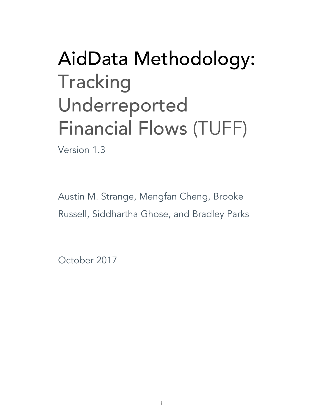# AidData Methodology: **Tracking** Underreported Financial Flows (TUFF)

Version 1.3

Austin M. Strange, Mengfan Cheng, Brooke Russell, Siddhartha Ghose, and Bradley Parks

October 2017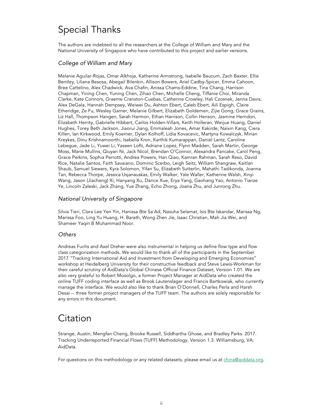### Special Thanks

The authors are indebted to all the researchers at the College of William and Mary and the National University of Singapore who have contributed to this project and earlier versions.

### *College of William and Mary*

Melanie Aguilar-Rojas, Omar Alkhoja, Katherine Armstrong, Isabelle Baucum, Zach Baxter, Ellie Bentley, Liliana Besosa, Abegail Bilenkin, Allison Bowers, Ariel Cadby-Spicer, Emma Cahoon, Bree Cattelino, Alex Chadwick, Ava Chafin, Anissa Chams-Eddine, Tina Chang, Harrison Chapman, Yining Chen, Yuning Chen, Zihao Chen, Michelle Cheng, Tiffanie Choi, Miranda Clarke, Kate Connors, Graeme Cranston-Cuebas, Catherine Crowley, Hali Czosnek, Jenna Davis, Alex DeGala, Hannah Dempsey, Weiwei Du, Ashton Ebert, Caleb Ebert, Aili Espigh, Claire Etheridge, Ze Fu, Wesley Garner, Melanie Gilbert, Elizabeth Goldemen, Zijie Gong, Grace Grains, Liz Hall, Thompson Hangen, Sarah Harmon, Ethan Harrison, Collin Henson, Jasmine Herndon, Elizabeth Herrity, Gabrielle Hibbert, Carlos Holden-Villars, Keith Holleran, Weijue Huang, Daniel Hughes, Torey Beth Jackson, Jiaorui Jiang, Emmaleah Jones, Amar Kakirde, Naixin Kang, Ciera Killen, Ian Kirkwood, Emily Koerner, Dylan Kolhoff, Lidia Kovacevic, Martyna Kowalczyk, Mirian Kreykes, Dinu Krishnamoorthi, Isabella Kron, Karthik Kumarappan, Daniel Lantz, Caroline Lebegue, Jade Li, Yuwei Li, Yaseen Lofti, Adriane Lopez, Flynn Madden, Sarah Martin, George Moss, Marie Mullins, Qiuyan Ni, Jack Nicol, Brendan O'Connor, Alexandra Pancake, Carol Peng, Grace Perkins, Sophia Perrotti, Andrea Powers, Han Qiao, Kamran Rahman, Sarah Reso, David Rice, Natalie Santos, Faith Savaiano, Dominic Scerbo, Leigh Seitz, William Shangraw, Kaitlan Shaub, Samuel Siewers, Kyra Solomon, Yifan Su, Elizabeth Sutterlin, Mahathi Tadikonda, Joanna Tan, Rebecca Thorpe, Jessica Usjanauskas, Emily Walker, Yale Waller, Katherine Walsh, Xinyi Wang, Jason (Jiacheng) Xi, Hanyang Xu, Darice Xue, Erya Yang, Gaohang Yao, Antonio Tianze Ye, Lincoln Zaleski, Jack Zhang, Yue Zhang, Echo Zhong, Joana Zhu, and Junrong Zhu.

### *National University of Singapore*

Silvia Tieri, Clara Lee Yen Yin, Hanissa Bte Sa'Ad, Nasuha Selamat, Isis Bte Iskandar, Marissa Ng, Marissa Foo, Ling Yu Huang, H. Barath, Wong Zhen Jie, Isaac Christian, Mah Jia Wei, and Shameer Yaqin B Muhammad Noor.

### *Others*

Andreas Fuchs and Axel Dreher were also instrumental in helping us define flow type and flow class categorization methods. We would like to thank all of the participants in the September 2017 "Tracking International Aid and Investment from Developing and Emerging Economies" workshop at Heidelberg University for their constructive feedback and Steve Lewis-Workman for their careful scrutiny of AidData's Global Chinese Official Finance Dataset, Version 1.01. We are also very grateful to Robert Mosolgo, a former Project Manager at AidData who created the online TUFF coding interface as well as Brook Lautenslager and Francis Bartkowiak, who currently manage the interface. We would also like to thank Brian O'Donnell, Charles Perla and Harsh Desai -- three former project managers of the TUFF team. The authors are solely responsible for any errors in this document.

### Citation

Strange, Austin, Mengfan Cheng, Brooke Russell, Siddhartha Ghose, and Bradley Parks. 2017. Tracking Underreported Financial Flows (TUFF) Methodology, Version 1.3. Williamsburg, VA: AidData.

For questions on this methodology or any related datasets, please email us at *china@aiddata.org*.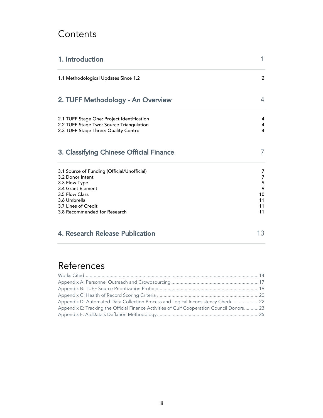### **Contents**

| 1. Introduction                                                                                                                                                                                | 1                                                     |
|------------------------------------------------------------------------------------------------------------------------------------------------------------------------------------------------|-------------------------------------------------------|
| 1.1 Methodological Updates Since 1.2                                                                                                                                                           | 2                                                     |
| 2. TUFF Methodology - An Overview                                                                                                                                                              | 4                                                     |
| 2.1 TUFF Stage One: Project Identification<br>2.2 TUFF Stage Two: Source Triangulation<br>2.3 TUFF Stage Three: Quality Control                                                                | 4<br>4<br>4                                           |
| 3. Classifying Chinese Official Finance                                                                                                                                                        | 7                                                     |
| 3.1 Source of Funding (Official/Unofficial)<br>3.2 Donor Intent<br>3.3 Flow Type<br>3.4 Grant Element<br>3.5 Flow Class<br>3.6 Umbrella<br>3.7 Lines of Credit<br>3.8 Recommended for Research | 7<br>$\overline{7}$<br>9<br>9<br>10<br>11<br>11<br>11 |
| <b>4. Research Release Publication</b>                                                                                                                                                         | 13                                                    |

## References

| Appendix D: Automated Data Collection Process and Logical Inconsistency Check 22          |  |
|-------------------------------------------------------------------------------------------|--|
| Appendix E: Tracking the Official Finance Activities of Gulf Cooperation Council Donors23 |  |
|                                                                                           |  |
|                                                                                           |  |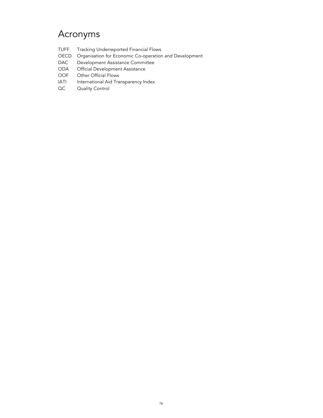### Acronyms

- TUFF Tracking Underreported Financial Flows
- OECD Organisation for Economic Co-operation and Development
- DAC Development Assistance Committee
- ODA Official Development Assistance
- OOF Other Official Flows<br>
IATI International Aid Tra
- International Aid Transparency Index
- QC Quality Control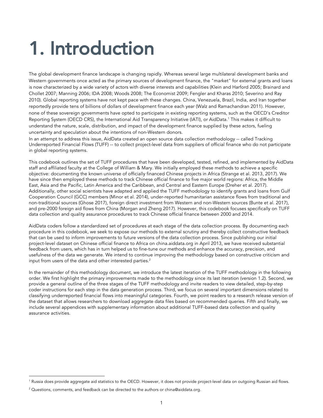# 1. Introduction

The global development finance landscape is changing rapidly. Whereas several large multilateral development banks and Western governments once acted as the primary sources of development finance, the "market" for external grants and loans is now characterized by a wide variety of actors with diverse interests and capabilities (Klein and Harford 2005; Brainard and Chollet 2007; Manning 2006; IDA 2008; Woods 2008; The Economist 2009; Fengler and Kharas 2010; Severino and Ray 2010). Global reporting systems have not kept pace with these changes. China, Venezuela, Brazil, India, and Iran together reportedly provide tens of billions of dollars of development finance each year (Walz and Ramachandran 2011). However, none of these sovereign governments have opted to participate in existing reporting systems, such as the OECD's Creditor Reporting System (OECD CRS), the International Aid Transparency Initiative (IATI), or AidData.<sup>1</sup> This makes it difficult to understand the nature, scale, distribution, and impact of the development finance supplied by these actors, fueling uncertainty and speculation about the intentions of non-Western donors.

In an attempt to address this issue, AidData created an open source data collection methodology -- called Tracking Underreported Financial Flows (TUFF) -- to collect project-level data from suppliers of official finance who do not participate in global reporting systems.

This codebook outlines the set of TUFF procedures that have been developed, tested, refined, and implemented by AidData staff and affiliated faculty at the College of William & Mary. We initially employed these methods to achieve a specific objective: documenting the known universe of officially financed Chinese projects in Africa (Strange et al. 2013, 2017). We have since then employed these methods to track Chinese official finance to five major world regions: Africa, the Middle East, Asia and the Pacific, Latin America and the Caribbean, and Central and Eastern Europe (Dreher et al. 2017). Additionally, other social scientists have adapted and applied the TUFF methodology to identify grants and loans from Gulf Cooperation Council (GCC) members (Minor et al. 2014), under-reported humanitarian assistance flows from traditional and non-traditional sources (Ghose 2017), foreign direct investment from Western and non-Western sources (Bunte et al. 2017), and pre-2000 foreign aid flows from China (Morgan and Zheng 2017). However, this codebook focuses specifically on TUFF data collection and quality assurance procedures to track Chinese official finance between 2000 and 2014.

AidData coders follow a standardized set of procedures at each stage of the data collection process. By documenting each procedure in this codebook, we seek to expose our methods to external scrutiny and thereby collect constructive feedback that can be used to inform improvements to future versions of the data collection process. Since publishing our initial project-level dataset on Chinese official finance to Africa on china.aiddata.org in April 2013, we have received substantial feedback from users, which has in turn helped us to fine-tune our methods and enhance the accuracy, precision, and usefulness of the data we generate. We intend to continue improving the methodology based on constructive criticism and input from users of the data and other interested parties.<sup>2</sup>

In the remainder of this methodology document, we introduce the latest iteration of the TUFF methodology in the following order. We first highlight the primary improvements made to the methodology since its last iteration (version 1.2). Second, we provide a general outline of the three stages of the TUFF methodology and invite readers to view detailed, step-by-step coder instructions for each step in the data generation process. Third, we focus on several important dimensions related to classifying underreported financial flows into meaningful categories. Fourth, we point readers to a research release version of the dataset that allows researchers to download aggregate data files based on recommended queries. Fifth and finally, we include several appendices with supplementary information about additional TUFF-based data collection and quality assurance activities.

<sup>&</sup>lt;sup>1</sup> Russia does provide aggregate aid statistics to the OECD. However, it does not provide project-level data on outgoing Russian aid flows.

<sup>&</sup>lt;sup>2</sup> Questions, comments, and feedback can be directed to the authors or china@aiddata.org.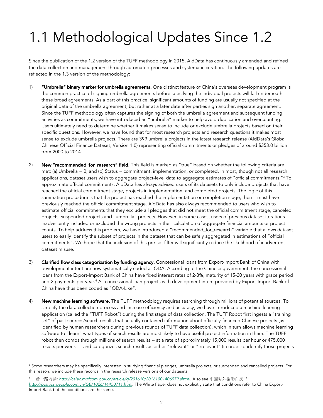# 1.1 Methodological Updates Since 1.2

Since the publication of the 1.2 version of the TUFF methodology in 2015, AidData has continuously amended and refined the data collection and management through automated processes and systematic curation. The following updates are reflected in the 1.3 version of the methodology:

- 1) **"Umbrella" binary marker for umbrella agreements.** One distinct feature of China's overseas development program is the common practice of signing umbrella agreements before specifying the individual projects will fall underneath these broad agreements. As a part of this practice, significant amounts of funding are usually not specified at the original date of the umbrella agreement, but rather at a later date after parties sign another, separate agreement. Since the TUFF methodology often captures the signing of both the umbrella agreement and subsequent funding activities as commitments, we have introduced an "umbrella" marker to help avoid duplication and overcounting. Users ultimately need to determine whether it makes sense to include or exclude umbrella projects based on their specific questions. However, we have found that for most research projects and research questions it makes most sense to exclude umbrella projects. There are 399 umbrella projects in the latest research release (AidData's Global Chinese Official Finance Dataset, Version 1.0) representing official commitments or pledges of around \$353.0 billion from 2000 to 2014.
- 2) New "recommended\_for\_research" field. This field is marked as "true" based on whether the following criteria are met: (a) Umbrella = 0; and (b) Status = commitment, implementation, or completed. In most, though not all research applications, dataset users wish to aggregate project-level data to aggregate estimates of "official commitments."3 To approximate official commitments, AidData has always advised users of its datasets to only include projects that have reached the official commitment stage, projects in implementation, and completed projects. The logic of this summation procedure is that if a project has reached the implementation or completion stage, then it must have previously reached the official commitment stage. AidData has also always recommended to users who wish to estimate official commitments that they exclude all pledges that did not meet the official commitment stage, canceled projects, suspended projects and "umbrella" projects. However, in some cases, users of previous dataset iterations inadvertently included or excluded the wrong projects in their calculation of aggregate financial amounts or project counts. To help address this problem, we have introduced a "recommended\_for\_research" variable that allows dataset users to easily identify the subset of projects in the dataset that can be safely aggregated in estimations of "official commitments". We hope that the inclusion of this pre-set filter will significantly reduce the likelihood of inadvertent dataset misuse.
- 3) Clarified flow class categorization by funding agency. Concessional loans from Export-Import Bank of China with development intent are now systematically coded as ODA. According to the Chinese government, the concessional loans from the Export-Import Bank of China have fixed interest rates of 2-3%, maturity of 15-20 years with grace period and 2 payments per year.<sup>4</sup> All concessional loan projects with development intent provided by Export-Import Bank of China have thus been coded as "ODA-Like".
- 4) New machine learning software. The TUFF methodology requires searching through millions of potential sources. To simplify the data collection process and increase efficiency and accuracy, we have introduced a machine learning application (called the "TUFF Robot") during the first stage of data collection. The TUFF Robot first ingests a "training set" of past sources/search results that actually contained information about officially-financed Chinese projects (as identified by human researchers during previous rounds of TUFF data collection), which in turn allows machine learning software to "learn" what types of search results are most likely to have useful project information in them. The TUFF robot then combs through millions of search results -- at a rate of approximately 15,000 results per hour or 475,000 results per week — and categorizes search results as either "relevant" or "irrelevant" (in order to identify those projects

<sup>&</sup>lt;sup>3</sup> Some researchers may be specifically interested in studying financial pledges, umbrella projects, or suspended and cancelled projects. For this reason, we include these records in the research release versions of our datasets.

<sup>4</sup> 一带一路内参: *http://caiec.mofcom.gov.cn/article/g/201610/20161001406979.shtml*. Also see 中国对外援助白皮书: *http://politics.people.com.cn/GB/1026/14450711.html*. The White Paper does not explicitly state that conditions refer to China Export-Import Bank but the conditions are the same.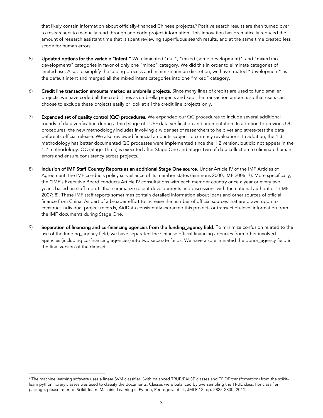that likely contain information about officially-financed Chinese projects).<sup>5</sup> Positive search results are then turned over to researchers to manually read through and code project information. This innovation has dramatically reduced the amount of research assistant time that is spent reviewing superfluous search results, and at the same time created less scope for human errors.

- 5) Updated options for the variable "intent." We eliminated "null", "mixed (some development)", and "mixed (no development)" categories in favor of only one "mixed" category. We did this in order to eliminate categories of limited use. Also, to simplify the coding process and minimize human discretion, we have treated "development" as the default intent and merged all the mixed intent categories into one "mixed" category.
- 6) Credit line transaction amounts marked as umbrella projects. Since many lines of credits are used to fund smaller projects, we have coded all the credit lines as umbrella projects and kept the transaction amounts so that users can choose to exclude these projects easily or look at all the credit line projects only.
- 7) Expanded set of quality control (QC) procedures. We expanded our QC procedures to include several additional rounds of data verification during a third stage of TUFF data verification and augmentation. In addition to previous QC procedures, the new methodology includes involving a wider set of researchers to help vet and stress-test the data before its official release. We also reviewed financial amounts subject to currency revaluations. In addition, the 1.3 methodology has better documented QC processes were implemented since the 1.2 version, but did not appear in the 1.2 methodology. QC (Stage Three) is executed after Stage One and Stage Two of data collection to eliminate human errors and ensure consistency across projects.
- 8) Inclusion of IMF Staff Country Reports as an additional Stage One source. Under Article IV of the IMF Articles of Agreement, the IMF conducts policy surveillance of its member states (Simmons 2000; IMF 2006: 7). More specifically, the "IMF's Executive Board conducts Article IV consultations with each member country once a year or every two years, based on staff reports that summarize recent developments and discussions with the national authorities" (IMF 2007: 8). These IMF staff reports sometimes contain detailed information about loans and other sources of official finance from China. As part of a broader effort to increase the number of official sources that are drawn upon to construct individual project records, AidData consistently extracted this project- or transaction-level information from the IMF documents during Stage One.
- 9) Separation of financing and co-financing agencies from the funding\_agency field. To minimize confusion related to the use of the funding\_agency field, we have separated the Chinese official financing agencies from other involved agencies (including co-financing agencies) into two separate fields. We have also eliminated the donor\_agency field in the final version of the dataset.

<sup>&</sup>lt;sup>5</sup> The machine learning software uses a linear SVM classifier (with balanced TRUE/FALSE classes and TFIDF transformation) from the scikitlearn python library classes was used to classify the documents. Classes were balanced by oversampling the TRUE class. For classifier package, please refer to: Scikit-learn: Machine Learning in Python, Pedregosa et al., JMLR 12, pp. 2825-2830, 2011.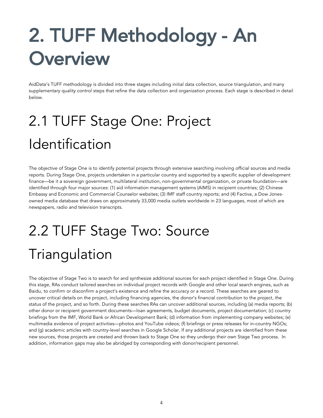# 2. TUFF Methodology - An **Overview**

AidData's TUFF methodology is divided into three stages including initial data collection, source triangulation, and many supplementary quality control steps that refine the data collection and organization process. Each stage is described in detail below.

# 2.1 TUFF Stage One: Project Identification

The objective of Stage One is to identify potential projects through extensive searching involving official sources and media reports. During Stage One, projects undertaken in a particular country and supported by a specific supplier of development finance—be it a sovereign government, multilateral institution, non-governmental organization, or private foundation—are identified through four major sources: (1) aid information management systems (AIMS) in recipient countries; (2) Chinese Embassy and Economic and Commercial Counselor websites; (3) IMF staff country reports; and (4) Factiva, a Dow Jonesowned media database that draws on approximately 33,000 media outlets worldwide in 23 languages, most of which are newspapers, radio and television transcripts.

# 2.2 TUFF Stage Two: Source Triangulation

The objective of Stage Two is to search for and synthesize additional sources for each project identified in Stage One. During this stage, RAs conduct tailored searches on individual project records with Google and other local search engines, such as Baidu, to confirm or disconfirm a project's existence and refine the accuracy or a record. These searches are geared to uncover critical details on the project, including financing agencies, the donor's financial contribution to the project, the status of the project, and so forth. During these searches RAs can uncover additional sources, including (a) media reports; (b) other donor or recipient government documents—loan agreements, budget documents, project documentation; (c) country briefings from the IMF, World Bank or African Development Bank; (d) information from implementing company websites; (e) multimedia evidence of project activities—photos and YouTube videos; (f) briefings or press releases for in-country NGOs; and (g) academic articles with country-level searches in Google Scholar. If any additional projects are identified from these new sources, those projects are created and thrown back to Stage One so they undergo their own Stage Two process. In addition, information gaps may also be abridged by corresponding with donor/recipient personnel.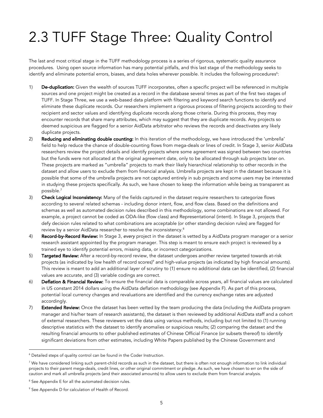# 2.3 TUFF Stage Three: Quality Control

The last and most critical stage in the TUFF methodology process is a series of rigorous, systematic quality assurance procedures. Using open source information has many potential pitfalls, and this last stage of the methodology seeks to identify and eliminate potential errors, biases, and data holes wherever possible. It includes the following procedures<sup>6</sup>:

- 1) De-duplication: Given the wealth of sources TUFF incorporates, often a specific project will be referenced in multiple sources and one project might be created as a record in the database several times as part of the first two stages of TUFF. In Stage Three, we use a web-based data platform with filtering and keyword search functions to identify and eliminate these duplicate records. Our researchers implement a rigorous process of filtering projects according to their recipient and sector values and identifying duplicate records along those criteria. During this process, they may encounter records that share many attributes, which may suggest that they are duplicate records. Any projects so deemed suspicious are flagged for a senior AidData arbitrator who reviews the records and deactivates any likely duplicate projects.
- 2) Reducing and eliminating double counting: In this iteration of the methodology, we have introduced the 'umbrella' field to help reduce the chance of double-counting flows from mega-deals or lines of credit. In Stage 3, senior AidData researchers review the project details and identify projects where some agreement was signed between two countries but the funds were not allocated at the original agreement date, only to be allocated through sub projects later on. These projects are marked as "umbrella" projects to mark their likely hierarchical relationship to other records in the dataset and allow users to exclude them from financial analysis. Umbrella projects are kept in the dataset because it is possible that some of the umbrella projects are not captured entirely in sub projects and some users may be interested in studying these projects specifically. As such, we have chosen to keep the information while being as transparent as possible.7
- 3) Check Logical Inconsistency: Many of the fields captured in the dataset require researchers to categorize flows according to several related schemas - including donor intent, flow, and flow class. Based on the definitions and schemas as well as automated decision rules described in this methodology, some combinations are not allowed. For example, a project cannot be coded as ODA-like (flow class) and Representational (intent). In Stage 3, projects that defy decision rules related to what combinations are acceptable (or other standing decision rules) are flagged for review by a senior AidData researcher to resolve the inconsistency.8
- 4) Record-by-Record Review: In Stage 3, *every* project in the dataset is vetted by a AidData program manager or a senior research assistant appointed by the program manager. This step is meant to ensure each project is reviewed by a trained eye to identify potential errors, missing data, or incorrect categorizations.
- 5) Targeted Review: After a record-by-record review, the dataset undergoes another review targeted towards at-risk projects (as indicated by low health of record scores)<sup>9</sup> and high-value projects (as indicated by high financial amounts). This review is meant to add an additional layer of scrutiny to (1) ensure no additional data can be identified, (2) financial values are accurate, and (3) variable codings are correct.
- 6) Deflation & Financial Review: To ensure the financial data is comparable across years, all financial values are calculated in US constant 2014 dollars using the AidData deflation methodology (see Appendix F). As part of this process, potential local currency changes and revaluations are identified and the currency exchange rates are adjusted accordingly.
- 7) Extended Review: Once the dataset has been vetted by the team producing the data (including the AidData program manager and his/her team of research assistants), the dataset is then reviewed by additional AidData staff and a cohort of external researchers. These reviewers vet the data using various methods, including but not limited to (1) running descriptive statistics with the dataset to identify anomalies or suspicious results; (2) comparing the dataset and the resulting financial amounts to other published estimates of Chinese Official Finance (or subsets thereof) to identify significant deviations from other estimates, including White Papers published by the Chinese Government and

 <sup>6</sup> Detailed steps of quality control can be found in the Coder Instruction.

 $<sup>7</sup>$  We have considered linking such parent-child records as such in the dataset, but there is often not enough information to link individual</sup> projects to their parent mega-deals, credit lines, or other original commitment or pledge. As such, we have chosen to err on the side of caution and mark all umbrella projects (and their associated amounts) to allow users to exclude them from financial analysis.

<sup>&</sup>lt;sup>8</sup> See Appendix E for all the automated decision rules.

<sup>&</sup>lt;sup>9</sup> See Appendix D for calculation of Health of Record.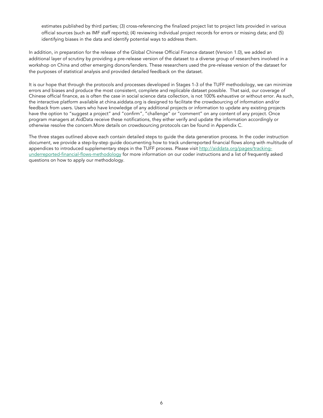estimates published by third parties; (3) cross-referencing the finalized project list to project lists provided in various official sources (such as IMF staff reports); (4) reviewing individual project records for errors or missing data; and (5) identifying biases in the data and identify potential ways to address them.

In addition, in preparation for the release of the Global Chinese Official Finance dataset (Version 1.0), we added an additional layer of scrutiny by providing a pre-release version of the dataset to a diverse group of researchers involved in a workshop on China and other emerging donors/lenders. These researchers used the pre-release version of the dataset for the purposes of statistical analysis and provided detailed feedback on the dataset.

It is our hope that through the protocols and processes developed in Stages 1-3 of the TUFF methodology, we can minimize errors and biases and produce the most consistent, complete and replicable dataset possible. That said, our coverage of Chinese official finance, as is often the case in social science data collection, is not 100% exhaustive or without error. As such, the interactive platform available at china.aiddata.org is designed to facilitate the crowdsourcing of information and/or feedback from users. Users who have knowledge of any additional projects or information to update any existing projects have the option to "suggest a project" and "confirm", "challenge" or "comment" on any content of any project. Once program managers at AidData receive these notifications, they either verify and update the information accordingly or otherwise resolve the concern.More details on crowdsourcing protocols can be found in Appendix C.

The three stages outlined above each contain detailed steps to guide the data generation process. In the coder instruction document, we provide a step-by-step guide documenting how to track underreported financial flows along with multitude of appendices to introduced supplementary steps in the TUFF process. Please visit http://aiddata.org/pages/trackingunderreported-financial-flows-methodology for more information on our coder instructions and a list of frequently asked questions on how to apply our methodology.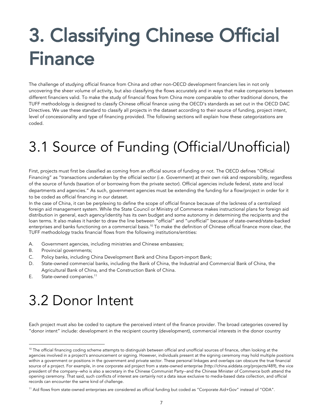# 3. Classifying Chinese Official Finance

The challenge of studying official finance from China and other non-OECD development financiers lies in not only uncovering the sheer volume of activity, but also classifying the flows accurately and in ways that make comparisons between different financiers valid. To make the study of financial flows from China more comparable to other traditional donors, the TUFF methodology is designed to classify Chinese official finance using the OECD's standards as set out in the OECD DAC Directives. We use these standard to classify all projects in the dataset according to their source of funding, project intent, level of concessionality and type of financing provided. The following sections will explain how these categorizations are coded.

# 3.1 Source of Funding (Official/Unofficial)

First, projects must first be classified as coming from an official source of funding or not. The OECD defines "Official Financing" as "transactions undertaken by the official sector (i.e. Government) at their own risk and responsibility, regardless of the source of funds (taxation of or borrowing from the private sector). Official agencies include federal, state and local departments and agencies." As such, government agencies must be extending the funding for a flow/project in order for it to be coded as official financing in our dataset.

In the case of China, it can be perplexing to define the scope of official finance because of the lackness of a centralized foreign aid management system. While the State Council or Ministry of Commerce makes instructional plans for foreign aid distribution in general, each agency/identity has its own budget and some autonomy in determining the recipients and the loan terms. It also makes it harder to draw the line between "official" and "unofficial" because of state-owned/state-backed enterprises and banks functioning on a commercial basis.<sup>10</sup> To make the definition of Chinese official finance more clear, the TUFF methodology tracks financial flows from the following institutions/entities:

- A. Government agencies, including ministries and Chinese embassies;
- B. Provincial governments;
- C. Policy banks, including China Development Bank and China Export-import Bank;
- D. State-owned commercial banks, including the Bank of China, the Industrial and Commercial Bank of China, the Agricultural Bank of China, and the Construction Bank of China.
- E. State-owned companies.<sup>11</sup>

## 3.2 Donor Intent

Each project must also be coded to capture the perceived intent of the finance provider. The broad categories covered by "donor intent" include: development in the recipient country (development), commercial interests in the donor country

<sup>&</sup>lt;sup>10</sup> The official financing coding scheme attempts to distinguish between official and unofficial sources of finance, often looking at the agencies involved in a project's announcement or signing. However, individuals present at the signing ceremony may hold multiple positions within a government or positions in the government and private sector. These personal linkages and overlaps can obscure the true financial source of a project. For example, in one corporate aid project from a state-owned enterprise (http://china.aiddata.org/projects/489), the vice president of the company--who is also a secretary in the Chinese Communist Party--and the Chinese Minister of Commerce both attend the opening ceremony. That said, such conflicts of interest are certainly not a data issue exclusive to media-based data collection, and official records can encounter the same kind of challenge.

<sup>11</sup> Aid flows from state-owned enterprises are considered as official funding but coded as "Corporate Aid+Gov" instead of "ODA".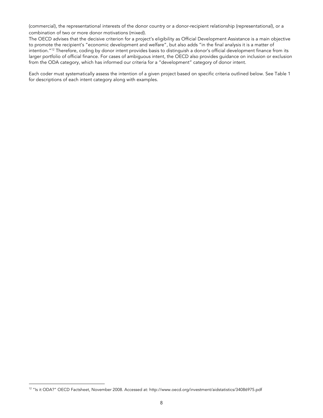(commercial), the representational interests of the donor country or a donor-recipient relationship (representational), or a combination of two or more donor motivations (mixed).

The OECD advises that the decisive criterion for a project's eligibility as Official Development Assistance is a main objective to promote the recipient's "economic development and welfare", but also adds "in the final analysis it is a matter of intention."<sup>12</sup> Therefore, coding by donor intent provides basis to distinguish a donor's official development finance from its larger portfolio of official finance. For cases of ambiguous intent, the OECD also provides guidance on inclusion or exclusion from the ODA category, which has informed our criteria for a "development" category of donor intent.

Each coder must systematically assess the intention of a given project based on specific criteria outlined below. See Table 1 for descriptions of each intent category along with examples.

 <sup>12</sup> "Is it ODA?" OECD Factsheet, November 2008. Accessed at: http://www.oecd.org/investment/aidstatistics/34086975.pdf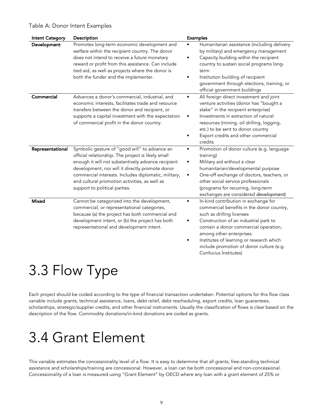### Table A: Donor Intent Examples

| <b>Intent Category</b> | Description                                                                                                                                                                                                                                                                                                                                            | <b>Examples</b>                                                                                                                                                                                                                                                                                                                                           |
|------------------------|--------------------------------------------------------------------------------------------------------------------------------------------------------------------------------------------------------------------------------------------------------------------------------------------------------------------------------------------------------|-----------------------------------------------------------------------------------------------------------------------------------------------------------------------------------------------------------------------------------------------------------------------------------------------------------------------------------------------------------|
| Development            | Promotes long-term economic development and<br>welfare within the recipient country. The donor<br>does not intend to receive a future monetary<br>reward or profit from this assistance. Can include<br>tied aid, as well as projects where the donor is<br>both the funder and the implementer.                                                       | Humanitarian assistance (including delivery<br>by military) and emergency management<br>Capacity building within the recipient<br>٠<br>country to sustain social programs long-<br>term<br>Institution building of recipient<br>government through elections, training, or<br>official government buildings                                               |
| Commercial             | Advances a donor's commercial, industrial, and<br>economic interests, facilitates trade and resource<br>transfers between the donor and recipient, or<br>supports a capital investment with the expectation<br>of commercial profit in the donor country.                                                                                              | All foreign direct investment and joint<br>$\bullet$<br>venture activities (donor has "bought a<br>stake" in the recipient enterprise)<br>Investments in extraction of natural<br>٠<br>resources (mining, oil drilling, logging,<br>etc.) to be sent to donor country<br>Export credits and other commercial<br>٠<br>credits                              |
| Representational       | Symbolic gesture of "good will" to advance an<br>official relationship. The project is likely small<br>enough it will not substantively advance recipient<br>development, nor will it directly promote donor<br>commercial interests. Includes diplomatic, military,<br>and cultural promotion activities, as well as<br>support to political parties. | Promotion of donor culture (e.g. language<br>training)<br>Military aid without a clear<br>humanitarian/developmental purpose<br>One-off exchange of doctors, teachers, or<br>٠<br>other social service professionals<br>(programs for recurring, long-term<br>exchanges are considered development)                                                       |
| <b>Mixed</b>           | Cannot be categorized into the development,<br>commercial, or representational categories,<br>because (a) the project has both commercial and<br>development intent, or (b) the project has both<br>representational and development intent.                                                                                                           | In-kind contribution in exchange for<br>$\bullet$<br>commercial benefits in the donor country,<br>such as drilling licenses<br>Construction of an industrial park to<br>contain a donor commercial operation,<br>among other enterprises<br>Institutes of learning or research which<br>include promotion of donor culture (e.g.<br>Confucius Institutes) |

## 3.3 Flow Type

Each project should be coded according to the type of financial transaction undertaken. Potential options for this flow class variable include grants, technical assistance, loans, debt relief, debt rescheduling, export credits, loan guarantees, scholarships, strategic/supplier credits, and other financial instruments. Usually the classification of flows is clear based on the description of the flow. Commodity donations/in-kind donations are coded as grants.

## 3.4 Grant Element

This variable estimates the concessionality level of a flow. It is easy to determine that all grants, free-standing technical assistance and scholarships/training are concessional. However, a loan can be both concessional and non-concessional. Concessionality of a loan is measured using "Grant Element" by OECD where any loan with a grant element of 25% or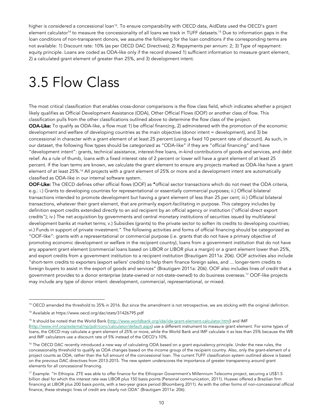higher is considered a concessional loan<sup>13</sup>. To ensure comparability with OECD data, AidData used the OECD's grant element calculator<sup>14</sup> to measure the concessionality of all loans we track in TUFF datasets.<sup>15</sup> Due to information gaps in the loan conditions of non-transparent donors, we assume the following for the loan conditions if the corresponding terms are not available: 1) Discount rate: 10% (as per OECD DAC Directives); 2) Repayments per annum: 2; 3) Type of repayment: equity principle. Loans are coded as ODA-like only if the record showed 1) sufficient information to measure grant element, 2) a calculated grant element of greater than 25%, and 3) development intent.

## 3.5 Flow Class

The most critical classification that enables cross-donor comparisons is the flow class field, which indicates whether a project likely qualifies as Official Development Assistance (ODA), Other Official Flows (OOF) or another class of flow. This classification pulls from the other classifications outlined above to determine the flow class of the project. ODA-Like: To qualify as ODA-like, a flow must 1) be official financing, 2) administered with the promotion of the economic development and welfare of developing countries as the main objective (donor intent = development), and 3) be concessional in character with a grant element of at least 25 percent (using a fixed 10 percent rate of discount). As such, in our dataset, the following flow types should be categorized as "ODA-like" if they are "official financing" and have "development intent": grants, technical assistance, interest-free loans, in-kind contributions of goods and services, and debt relief. As a rule of thumb, loans with a fixed interest rate of 2 percent or lower will have a grant element of at least 25 percent. If the loan terms are known, we calculate the grant element to ensure any projects marked as ODA-like have a grant element of at least 25%.<sup>16</sup> All projects with a grant element of 25% or more and a development intent are automatically classified as ODA-like in our internal software system.

OOF-Like: The OECD defines other official flows (OOF) as "official sector transactions which do not meet the ODA criteria, e.g.: i.) Grants to developing countries for representational or essentially commercial purposes; ii.) Official bilateral transactions intended to promote development but having a grant element of less than 25 per cent; iii.) Official bilateral transactions, whatever their grant element, that are primarily export-facilitating in purpose. This category includes by definition export credits extended directly to an aid recipient by an official agency or institution ("official direct export credits"); iv.) The net acquisition by governments and central monetary institutions of securities issued by multilateral development banks at market terms; v.) Subsidies (grants) to the private sector to soften its credits to developing countries; vi.) Funds in support of private investment." The following activities and forms of official financing should be categorized as "OOF-like": grants with a representational or commercial purpose (i.e. grants that do not have a primary objective of promoting economic development or welfare in the recipient country), loans from a government institution that do not have any apparent grant element (commercial loans based on LIBOR or LIBOR plus a margin) or a grant element lower than 25%, and export credits from a government institution to a recipient institution (Brautigam 2011a: 206). OOF activities also include "short-term credits to exporters (export sellers' credits) to help them finance foreign sales, and ... longer-term credits to foreign buyers to assist in the export of goods and services" (Brautigam 2011a: 206). OOF also includes lines of credit that a government provides to a donor enterprise (state-owned or not-state-owned) to do business overseas.17 OOF-like projects may include any type of donor intent: development, commercial, representational, or mixed.

<sup>&</sup>lt;sup>13</sup> OECD amended the threshold to 35% in 2016. But since the amendment is not retrospective, we are sticking with the original definition.

<sup>14</sup> Available at https://www.oecd.org/dac/stats/31426795.pdf

<sup>&</sup>lt;sup>15</sup> It should be noted that the World Bank (http://www.worldbank.org/ida/ida-grant-element-calculator.html) and IMF (http://www.imf.org/external/np/pdr/conc/calculator/default.aspx) use a different instrument to measure grant element. For some types of loans, the OECD may calculate a grant element of 25% or more, while the World Bank and IMF calculate it as less than 25% because the WB and IMF calculators use a discount rate of 5% instead of the OECD's 10%.

<sup>&</sup>lt;sup>16</sup> The OECD DAC recently introduced a new way of calculating ODA based on a grant equivalency principle. Under the new rules, the concessionality threshold to qualify as ODA changes based on the income group of the recipient country. Also, only the grant-element of a project counts as ODA, rather than the full amount of the concessional loan. The current TUFF classification system outlined above is based on the previous DAC directives from 2013-2015. The new system underscores the importance of greater transparency around grant elements for all concessional financing.

<sup>&</sup>lt;sup>17</sup> Example: "In Ethiopia. ZTE was able to offer finance for the Ethiopian Government's Millennium Telecoms project, securing a US\$1.5 billion deal for which the interest rate was LIBOR plus 150 basis points (Personal communication, 2011). Huawei offered a Brazilian firm financing at LIBOR plus 200 basis points, with a two-year grace period (Bloomberg 2011). As with the other forms of non-concessional official finance, these strategic lines of credit are clearly not ODA" (Brautigam 2011a: 206).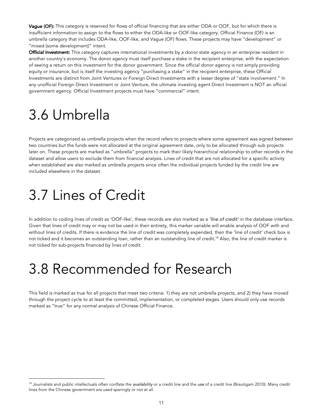Vague (OF): This category is reserved for flows of official financing that are either ODA or OOF, but for which there is insufficient information to assign to the flows to either the ODA-like or OOF-like category. Official Finance (OF) is an umbrella category that includes ODA-like, OOF-like, and Vague (OF) flows. These projects may have "development" or "mixed (some development)" intent.

Official Investment: This category captures international investments by a donor state agency in an enterprise resident in another country's economy. The donor agency must itself purchase a stake in the recipient enterprise, with the expectation of seeing a return on this investment for the donor government. Since the official donor agency is not simply providing equity or insurance, but is itself the investing agency "purchasing a stake" in the recipient enterprise, these Official Investments are distinct from Joint Ventures or Foreign Direct Investments with a lesser degree of "state involvement." In any unofficial Foreign Direct Investment or Joint Venture, the ultimate investing agent Direct Investment is NOT an official government agency. Official Investment projects must have "commercial" intent.

# 3.6 Umbrella

Projects are categorized as umbrella projects when the record refers to projects where some agreement was signed between two countries but the funds were not allocated at the original agreement date, only to be allocated through sub projects later on. These projects are marked as "umbrella" projects to mark their likely hierarchical relationship to other records in the dataset and allow users to exclude them from financial analysis. Lines of credit that are not allocated for a specific activity when established are also marked as umbrella projects since often the individual projects funded by the credit line are included elsewhere in the dataset.

## 3.7 Lines of Credit

In addition to coding lines of credit as 'OOF-like', these records are also marked as a *'line of credit'* in the database interface. Given that lines of credit may or may not be used in their entirety, this marker variable will enable analysis of OOF with and without lines of credits. If there is evidence the line of credit was completely expended, then the 'line of credit' check box is not ticked and it becomes an outstanding loan, rather than an outstanding line of credit.18 Also, the line of credit marker is not ticked for sub-projects financed by lines of credit.

## 3.8 Recommended for Research

This field is marked as true for all projects that meet two criteria: 1) they are not umbrella projects, and 2) they have moved through the project cycle to at least the committed, implementation, or completed stages. Users should only use records marked as "true" for any normal analysis of Chinese Official Finance.

<sup>&</sup>lt;sup>18</sup> Journalists and public intellectuals often conflate the *availability* or a credit line and the *use* of a credit line (Brautigam 2010). Many credit lines from the Chinese government are used sparingly or not at all.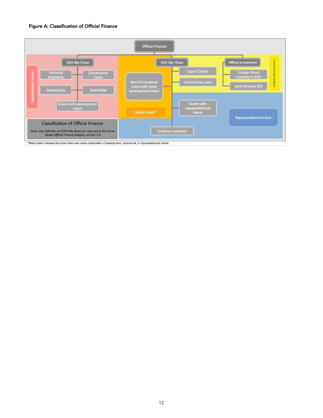### Figure A: Classification of Official Finance



\*Mixed Intent indicates the donor intent was some combination of development, commercial, or representational intents.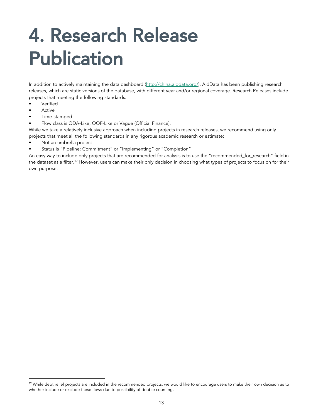# 4. Research Release Publication

In addition to actively maintaining the data dashboard (http://china.aiddata.org/), AidData has been publishing research releases, which are static versions of the database, with different year and/or regional coverage. Research Releases include projects that meeting the following standards:

- **Verified**
- **Active**
- Time-stamped
- Flow class is ODA-Like, OOF-Like or Vague (Official Finance).

While we take a relatively inclusive approach when including projects in research releases, we recommend using only projects that meet all the following standards in any rigorous academic research or estimate:

- Not an umbrella project
- Status is "Pipeline: Commitment" or "Implementing" or "Completion"

An easy way to include only projects that are recommended for analysis is to use the "recommended\_for\_research" field in the dataset as a filter.<sup>19</sup> However, users can make their only decision in choosing what types of projects to focus on for their own purpose.

<sup>&</sup>lt;sup>19</sup> While debt relief projects are included in the recommended projects, we would like to encourage users to make their own decision as to whether include or exclude these flows due to possibility of double counting.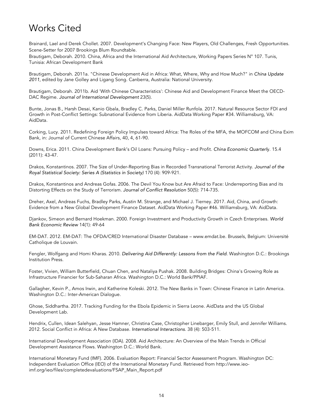### Works Cited

Brainard, Lael and Derek Chollet. 2007. Development's Changing Face: New Players, Old Challenges, Fresh Opportunities. Scene-Setter for 2007 Brookings Blum Roundtable.

Brautigam, Deborah. 2010. China, Africa and the International Aid Architecture, Working Papers Series N° 107. Tunis, Tunisia: African Development Bank

Brautigam, Deborah. 2011a. "Chinese Development Aid in Africa: What, Where, Why and How Much?" in *China Update 2011*, edited by Jane Golley and Ligang Song. Canberra, Australia: National University.

Brautigam, Deborah. 2011b. Aid 'With Chinese Characteristics': Chinese Aid and Development Finance Meet the OECD-DAC Regime. *Journal of International Development* 23(5).

Bunte, Jonas B., Harsh Desai, Kanio Gbala, Bradley C. Parks, Daniel Miller Runfola. 2017. Natural Resource Sector FDI and Growth in Post-Conflict Settings: Subnational Evidence from Liberia. AidData Working Paper #34. Williamsburg, VA: AidData.

Corking, Lucy. 2011. Redefining Foreign Policy Impulses toward Africa: The Roles of the MFA, the MOFCOM and China Exim Bank, in: Journal of Current Chinese Affairs, 40, 4, 61-90.

Downs, Erica. 2011. China Development Bank's Oil Loans: Pursuing Policy – and Profit. *China Economic Quarterl*y. 15.4 (2011): 43-47.

Drakos, Konstantinos. 2007. The Size of Under-Reporting Bias in Recorded Transnational Terrorist Activity. *Journal of the Royal Statistical Society: Series A (Statistics in Society)* 170 (4): 909-921.

Drakos, Konstantinos and Andreas Gofas. 2006. The Devil You Know but Are Afraid to Face: Underreporting Bias and its Distorting Effects on the Study of Terrorism. *Journal of Conflict Resolution* 50(5): 714-735.

Dreher, Axel, Andreas Fuchs, Bradley Parks, Austin M. Strange, and Michael J. Tierney. 2017. Aid, China, and Growth: Evidence from a New Global Development Finance Dataset. AidData Working Paper #46. Williamsburg, VA: AidData.

Djankov, Simeon and Bernard Hoekman. 2000. Foreign Investment and Productivity Growth in Czech Enterprises. *World Bank Economic Review* 14(1): 49-64

EM-DAT. 2012. EM-DAT: The OFDA/CRED International Disaster Database – www.emdat.be. Brussels, Belgium: Université Catholique de Louvain.

Fengler, Wolfgang and Homi Kharas. 2010. *Delivering Aid Differently: Lessons from the Field*. Washington D.C.: Brookings Institution Press.

Foster, Vivien, William Butterfield, Chuan Chen, and Nataliya Pushak. 2008. Building Bridges: China's Growing Role as Infrastructure Financier for Sub-Saharan Africa. Washington D.C.: World Bank/PPIAF.

Gallagher, Kevin P., Amos Irwin, and Katherine Koleski. 2012. The New Banks in Town: Chinese Finance in Latin America. Washington D.C.: Inter-American Dialogue.

Ghose, Siddhartha. 2017. Tracking Funding for the Ebola Epidemic in Sierra Leone. AidData and the US Global Development Lab.

Hendrix, Cullen, Idean Salehyan, Jesse Hamner, Christina Case, Christopher Linebarger, Emily Stull, and Jennifer Williams. 2012. Social Conflict in Africa: A New Database. *International Interactions*. 38 (4): 503-511.

International Development Association (IDA). 2008. Aid Architecture: An Overview of the Main Trends in Official Development Assistance Flows. Washington D.C.: World Bank.

International Monetary Fund (IMF). 2006. Evaluation Report: Financial Sector Assessment Program. Washington DC: Independent Evaluation Office (IEO) of the International Monetary Fund. Retrieved from http://www.ieoimf.org/ieo/files/completedevaluations/FSAP\_Main\_Report.pdf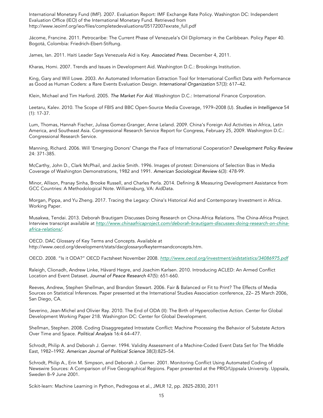International Monetary Fund (IMF). 2007. Evaluation Report: IMF Exchange Rate Policy. Washington DC: Independent Evaluation Office (IEO) of the International Monetary Fund. Retrieved from http://www.ieoimf.org/ieo/files/completedevaluations/05172007exrate\_full.pdf

Jácome, Francine. 2011. Petrocaribe: The Current Phase of Venezuela's Oil Diplomacy in the Caribbean. Policy Paper 40. Bogotá, Colombia: Friedrich-Ebert-Stiftung.

James, Ian. 2011. Haiti Leader Says Venezuela Aid is Key. *Associated Press*. December 4, 2011.

Kharas, Homi. 2007. Trends and Issues in Development Aid. Washington D.C.: Brookings Institution.

King, Gary and Will Lowe. 2003. An Automated Information Extraction Tool for International Conflict Data with Performance as Good as Human Coders: a Rare Events Evaluation Design. *International Organization* 57(3): 617–42.

Klein, Michael and Tim Harford. 2005. *The Market For Aid*. Washington D.C.: International Finance Corporation.

Leetaru, Kalev. 2010. The Scope of FBIS and BBC Open-Source Media Coverage, 1979–2008 (U). *Studies in Intelligence* 54 (1): 17-37.

Lum, Thomas, Hannah Fischer, Julissa Gomez-Granger, Anne Leland. 2009. China's Foreign Aid Activities in Africa, Latin America, and Southeast Asia. Congressional Research Service Report for Congress, February 25, 2009. Washington D.C.: Congressional Research Service.

Manning, Richard. 2006. Will 'Emerging Donors' Change the Face of International Cooperation? *Development Policy Review* 24: 371-385.

McCarthy, John D., Clark McPhail, and Jackie Smith. 1996. Images of protest: Dimensions of Selection Bias in Media Coverage of Washington Demonstrations, 1982 and 1991. *American Sociological Review* 6(3): 478-99.

Minor, Allison, Pranay Sinha, Brooke Russell, and Charles Perla. 2014. Defining & Measuring Development Assistance from GCC Countries: A Methodological Note. Williamsburg, VA: AidData.

Morgan, Pippa, and Yu Zheng. 2017. Tracing the Legacy: China's Historical Aid and Contemporary Investment in Africa. Working Paper.

Musakwa, Tendai. 2013. Deborah Brautigam Discusses Doing Research on China-Africa Relations. The China-Africa Project. Interview transcript available at *http://www.chinaafricaproject.com/deborah-brautigam-discusses-doing-research-on-chinaafrica-relations/*.

OECD. DAC Glossary of Key Terms and Concepts. Available at http://www.oecd.org/development/stats/dacglossaryofkeytermsandconcepts.htm.

OECD. 2008. "Is it ODA?" OECD Factsheet November 2008. *http://www.oecd.org/investment/aidstatistics/34086975.pdf*

Raleigh, Clionadh, Andrew Linke, Håvard Hegre, and Joachim Karlsen. 2010. Introducing ACLED: An Armed Conflict Location and Event Dataset. *Journal of Peace Research* 47(5): 651-660.

Reeves, Andrew, Stephen Shellman, and Brandon Stewart. 2006. Fair & Balanced or Fit to Print? The Effects of Media Sources on Statistical Inferences. Paper presented at the International Studies Association conference, 22– 25 March 2006, San Diego, CA.

Severino, Jean-Michel and Olivier Ray. 2010. The End of ODA (II): The Birth of Hypercollective Action. Center for Global Development Working Paper 218. Washington DC: Center for Global Development.

Shellman, Stephen. 2008. Coding Disaggregated Intrastate Conflict: Machine Processing the Behavior of Substate Actors Over Time and Space. *Political Analysis* 16:4 64–477.

Schrodt, Philip A. and Deborah J. Gerner. 1994. Validity Assessment of a Machine-Coded Event Data Set for The Middle East, 1982–1992. *American Journal of Political Science* 38(3):825–54.

Schrodt, Philip A., Erin M. Simpson, and Deborah J. Gerner. 2001. Monitoring Conflict Using Automated Coding of Newswire Sources: A Comparison of Five Geographical Regions. Paper presented at the PRIO/Uppsala University. Uppsala, Sweden 8–9 June 2001.

Scikit-learn: Machine Learning in Python, Pedregosa et al., JMLR 12, pp. 2825-2830, 2011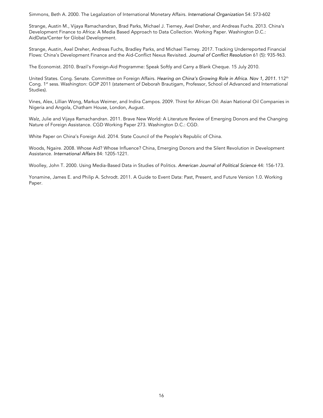Simmons, Beth A. 2000. The Legalization of International Monetary Affairs. *International Organization* 54: 573-602

Strange, Austin M., Vijaya Ramachandran, Brad Parks, Michael J. Tierney, Axel Dreher, and Andreas Fuchs. 2013. China's Development Finance to Africa: A Media Based Approach to Data Collection. Working Paper. Washington D.C.: AidData/Center for Global Development.

Strange, Austin, Axel Dreher, Andreas Fuchs, Bradley Parks, and Michael Tierney. 2017. Tracking Underreported Financial Flows: China's Development Finance and the Aid-Conflict Nexus Revisited. *Journal of Conflict Resolution* 61 (5): 935-963.

The Economist. 2010. Brazil's Foreign-Aid Programme: Speak Softly and Carry a Blank Cheque. 15 July 2010.

United States. Cong. Senate. Committee on Foreign Affairs. *Hearing on China's Growing Role in Africa*. *Nov 1, 2011.* 112th Cong. 1st sess. Washington: GOP 2011 (statement of Deborah Brautigam, Professor, School of Advanced and International Studies).

Vines, Alex, Lillian Wong, Markus Weimer, and Indira Campos. 2009. Thirst for African Oil: Asian National Oil Companies in Nigeria and Angola, Chatham House, London, August.

Walz, Julie and Vijaya Ramachandran. 2011. Brave New World: A Literature Review of Emerging Donors and the Changing Nature of Foreign Assistance. CGD Working Paper 273. Washington D.C.: CGD.

White Paper on China's Foreign Aid. 2014. State Council of the People's Republic of China.

Woods, Ngaire. 2008. Whose Aid? Whose Influence? China, Emerging Donors and the Silent Revolution in Development Assistance. *International Affairs* 84: 1205-1221.

Woolley, John T. 2000. Using Media-Based Data in Studies of Politics. *American Journal of Political Science* 44: 156-173.

Yonamine, James E. and Philip A. Schrodt. 2011. A Guide to Event Data: Past, Present, and Future Version 1.0. Working Paper.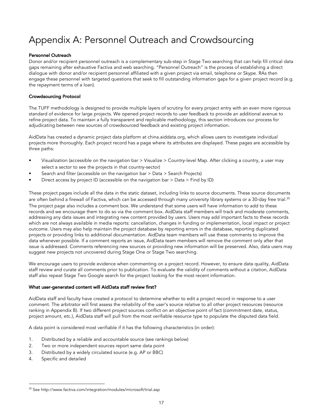### Appendix A: Personnel Outreach and Crowdsourcing

### Personnel Outreach

Donor and/or recipient personnel outreach is a complementary sub-step in Stage Two searching that can help fill critical data gaps remaining after exhaustive Factiva and web searching. "Personnel Outreach" is the process of establishing a direct dialogue with donor and/or recipient personnel affiliated with a given project via email, telephone or Skype. RAs then engage these personnel with targeted questions that seek to fill outstanding information gaps for a given project record (e.g. the repayment terms of a loan).

### Crowdsourcing Protocol

The TUFF methodology is designed to provide multiple layers of scrutiny for every project entry with an even more rigorous standard of evidence for large projects. We opened project records to user feedback to provide an additional avenue to refine project data. To maintain a fully transparent and replicable methodology, this section introduces our process for adjudicating between new sources of crowdsourced feedback and existing project information.

AidData has created a dynamic project data platform at china.aiddata.org, which allows users to investigate individual projects more thoroughly. Each project record has a page where its attributes are displayed. These pages are accessible by three paths:

- Visualization (accessible on the navigation bar > Visualize > Country-level Map. After clicking a country, a user may select a sector to see the projects in that country-sector)
- Search and filter (accessible on the navigation bar > Data > Search Projects)
- Direct access by project ID (accessible on the navigation bar > Data > Find by ID)

These project pages include all the data in the static dataset, including links to source documents. These source documents are often behind a firewall of Factiva, which can be accessed through many university library systems or a 30-day free trial.<sup>20</sup> The project page also includes a comment box. We understand that some users will have information to add to these records and we encourage them to do so via the comment box. AidData staff members will track and moderate comments, addressing any data issues and integrating new content provided by users. Users may add important facts to these records which are not always available in media reports: cancellation, changes in funding or implementation, local impact or project outcome. Users may also help maintain the project database by reporting errors in the database, reporting duplicated projects or providing links to additional documentation. AidData team members will use these comments to improve the data whenever possible. If a comment reports an issue, AidData team members will remove the comment only after that issue is addressed. Comments referencing new sources or providing new information will be preserved. Also, data users may suggest new projects not uncovered during Stage One or Stage Two searching.

We encourage users to provide evidence when commenting on a project record. However, to ensure data quality, AidData staff review and curate all comments prior to publication. To evaluate the validity of comments without a citation, AidData staff also repeat Stage Two Google search for the project looking for the most recent information.

### What user-generated content will AidData staff review first?

AidData staff and faculty have created a protocol to determine whether to edit a project record in response to a user comment. The arbitrator will first assess the reliability of the user's source relative to all other project resources (resource ranking in Appendix B). If two different project sources conflict on an objective point of fact (commitment date, status, project amount, etc.), AidData staff will pull from the most verifiable resource type to populate the disputed data field.

A data point is considered most verifiable if it has the following characteristics (in order):

- 1. Distributed by a reliable and accountable source (see rankings below)
- 2. Two or more independent sources report same data point
- 3. Distributed by a widely circulated source (e.g. AP or BBC)
- 4. Specific and detailed

<sup>&</sup>lt;sup>20</sup> See http://www.factiva.com/integration/modules/microsoft/trial.asp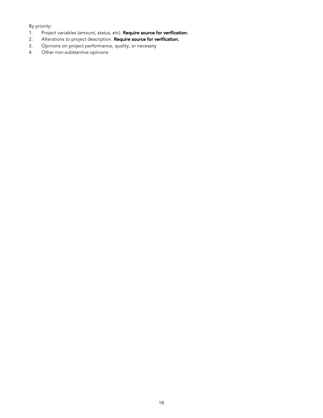### By priority:

- 1. Project variables (amount, status, etc). Require source for verification.
- 2. Alterations to project description. Require source for verification.
- 3. Opinions on project performance, quality, or necessity
- 4. Other non-substantive opinions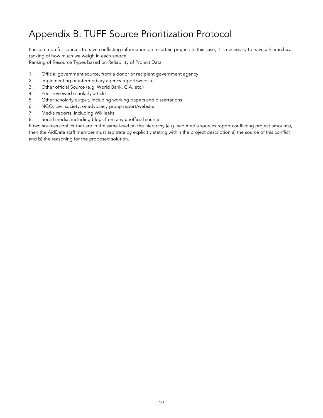### Appendix B: TUFF Source Prioritization Protocol

It is common for sources to have conflicting information on a certain project. In this case, it is necessary to have a hierarchical ranking of how much we weigh in each source.

Ranking of Resource Types based on Reliability of Project Data

- 1. Official government source, from a donor or recipient government agency
- 2. Implementing or intermediary agency report/website
- 3. Other official Source (e.g. World Bank, CIA, etc.)
- 4. Peer-reviewed scholarly article
- 5. Other scholarly output, including working papers and dissertations
- 6. NGO, civil society, or advocacy group report/website
- 7. Media reports, including Wikileaks
- 8. Social media, including blogs from any unofficial source

If two sources conflict that are in the same level on the hierarchy (e.g. two media sources report conflicting project amounts), then the AidData staff member must arbitrate by explicitly stating within the project description a) the source of this conflict and b) the reasoning for the proposed solution.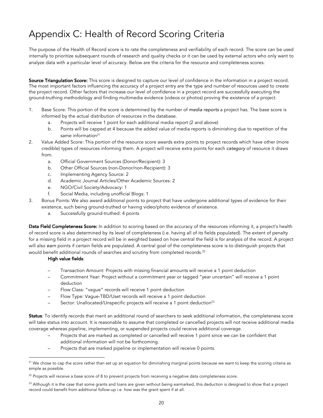### Appendix C: Health of Record Scoring Criteria

The purpose of the Health of Record score is to rate the completeness and verifiability of each record. The score can be used internally to prioritize subsequent rounds of research and quality checks or it can be used by external actors who only want to analyze data with a particular level of accuracy. Below are the criteria for the resource and completeness scores.

Source Triangulation Score: This score is designed to capture our level of confidence in the information in a project record. The most important factors influencing the accuracy of a project entry are the type and number of resources used to create the project record. Other factors that increase our level of confidence in a project record are successfully executing the ground-truthing methodology and finding multimedia evidence (videos or photos) proving the existence of a project.

- 1. Base Score: This portion of the score is determined by the number of *media reports* a project has. The base score is informed by the actual distribution of resources in the database.
	- a. Projects will receive 1 point for each additional media report (2 and above)
	- b. Points will be capped at 4 because the added value of media reports is diminishing due to repetition of the same information $21$
- 2. Value Added Score: This portion of the resource score awards extra points to project records which have other (more credible) types of resources informing them. A project will receive extra points for each *category* of resource it draws from.
	- a. Official Government Sources (Donor/Recipient): 3
	- b. Other Official Sources (non-Donor/non-Recipient): 3
	- c. Implementing Agency Source: 2
	- d. Academic Journal Articles/Other Academic Sources: 2
	- e. NGO/Civil Society/Advocacy: 1
	- f. Social Media, including unofficial Blogs: 1
- 3. Bonus Points: We also award additional points to project that have undergone additional types of evidence for their existence, such being ground-truthed or having video/photo evidence of existence.
	- a. Successfully ground-truthed: 4 points

Data Field Completeness Score: In addition to scoring based on the accuracy of the resources informing it, a project's health of record score is also determined by its level of completeness (i.e. having all of its fields populated). The extent of penalty for a missing field in a project record will be in weighted based on how central the field is for analysis of the record. A project will also *earn* points if certain fields are populated. A central goal of the completeness score is to distinguish projects that would benefit additional rounds of searches and scrutiny from completed records.<sup>22</sup>

#### High value fields:

- Transaction Amount: Projects with missing financial amounts will receive a 1 point deduction
- Commitment Year: Project without a commitment year or tagged "year uncertain" will receive a 1 point deduction
- Flow Class: "vague" records will receive 1 point deduction
- Flow Type: Vague-TBD/Uset records will receive a 1 point deduction
- Sector: Unallocated/Unspecific projects will receive a 1 point deduction<sup>23</sup>

Status: To identify records that merit an additional round of searchers to seek additional information, the completeness score will take status into account. It is reasonable to assume that completed or cancelled projects will not receive additional media coverage whereas pipeline, implementing, or suspended projects could receive additional coverage.

- Projects that are marked as completed or cancelled will receive 1 point since we can be confident that additional information will not be forthcoming.
- Projects that are marked pipeline or implementation will receive 0 points.

 $21$  We chose to cap the score rather than set up an equation for diminishing marginal points because we want to keep the scoring criteria as simple as possible.

<sup>&</sup>lt;sup>22</sup> Projects will receive a base score of 8 to prevent projects from receiving a negative data completeness score.

 $^{23}$  Although it is the case that some grants and loans are given without being earmarked, this deduction is designed to show that a project record could benefit from additional follow-up i.e. how was the grant spent if at all.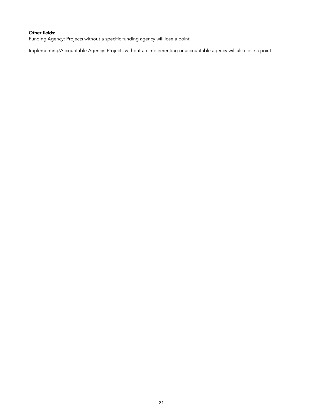### Other fields:

Funding Agency: Projects without a specific funding agency will lose a point.

Implementing/Accountable Agency: Projects without an implementing or accountable agency will also lose a point.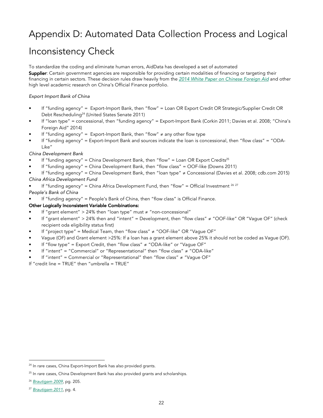### Appendix D: Automated Data Collection Process and Logical

### Inconsistency Check

To standardize the coding and eliminate human errors, AidData has developed a set of automated Supplier: Certain government agencies are responsible for providing certain modalities of financing or targeting their financing in certain sectors. These decision rules draw heavily from the *2014 White Paper on Chinese Foreign Aid* and other high level academic research on China's Official Finance portfolio.

### *Export Import Bank of China*

- If "funding agency" = Export-Import Bank, then "flow" = Loan OR Export Credit OR Strategic/Supplier Credit OR Debt Rescheduling<sup>24</sup> (United States Senate 2011)
- If "loan type" = concessional, then "funding agency" = Export-Import Bank (Corkin 2011; Davies et al. 2008; "China's Foreign Aid" 2014)
- If "funding agency" = Export-Import Bank, then "flow" ≠ any other flow type
- If "funding agency" = Export-Import Bank and sources indicate the loan is concessional, then "flow class" = "ODA-Like"

### *China Development Bank*

- If "funding agency" = China Development Bank, then "flow" = Loan OR Export Credits<sup>25</sup>
- If "funding agency" = China Development Bank, then "flow class" = OOF-like (Downs 2011)
- If "funding agency" = China Development Bank, then "loan type" ≠ Concessional (Davies et al. 2008; cdb.com 2015)

### *China Africa Development Fund*

If "funding agency" = China Africa Development Fund, then "flow" = Official Investment  $^{26}$   $^{27}$ 

### *People's Bank of China*

If "funding agency" = People's Bank of China, then "flow class" is Official Finance.

### Other Logically Inconsistent Variable Combinations:

- If "grant element" > 24% then "loan type" must  $\neq$  "non-concessional"
- If "grant element" > 24% then and "intent" = Development, then "flow class" ≠ "OOF-like" OR "Vague OF" (check recipient oda eligibility status first)
- If "project type" = Medical Team, then "flow class"  $\neq$  "OOF-like" OR "Vague OF"
- Vague (OF) and Grant element >25%: If a loan has a grant element above 25% it should not be coded as Vague (OF).
- If "flow type" = Export Credit, then "flow class"  $\neq$  "ODA-like" or "Vague OF"
- If "intent" = "Commercial" or "Representational" then "flow class" ≠ "ODA-like"
- If "intent" = Commercial or "Representational" then "flow class" ≠ "Vague OF"

If "credit line = TRUE" then "umbrella = TRUE"

<sup>&</sup>lt;sup>24</sup> In rare cases, China Export-Import Bank has also provided grants.

<sup>&</sup>lt;sup>25</sup> In rare cases, China Development Bank has also provided grants and scholarships.

<sup>26</sup> *Brautigam 2009*, pg. 205.

<sup>27</sup> *Brautigam 2011*, pg. 4.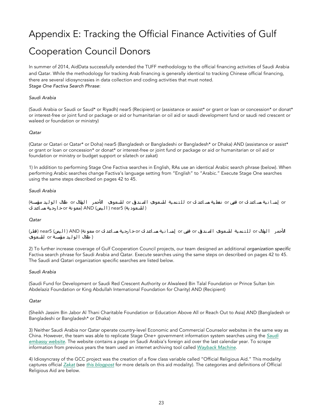### Appendix E: Tracking the Official Finance Activities of Gulf

### Cooperation Council Donors

In summer of 2014, AidData successfully extended the TUFF methodology to the official financing activities of Saudi Arabia and Qatar. While the methodology for tracking Arab financing is generally identical to tracking Chinese official financing, there are several idiosyncrasies in data collection and coding activities that must noted. *Stage One Factiva Search Phrase*:

#### *Saudi Arabia*

(Saudi Arabia or Saudi or Saud\* or Riyadh) near5 (Recipient) or (assistance or assist\* or grant or loan or concession\* or donat\* or interest-free or joint fund or package or aid or humanitarian or oil aid or saudi development fund or saudi red crescent or waleed or foundation or ministry)

#### *Qatar*

(Qatar or Qatari or Qatar\* or Doha) near5 (Bangladesh or Bangladeshi or Bangladesh\* or Dhaka) AND (assistance or assist\* or grant or loan or concession\* or donat\* or interest-free or joint fund or package or aid or humanitarian or oil aid or foundation or ministry or budget support or silatech or zakat)

1) In addition to performing Stage One Factiva searches in English, RAs use an identical Arabic search phrase (below). When performing Arabic searches change Factiva's language setting from "English" to "Arabic." Execute Stage One searches using the same steps described on pages 42 to 45.

#### *Saudi Arabia*

or إسانية مساعدات or قرض or نفطية مساعدات or للتنمية السعودي الصندوق or السعودي الأحمر الهلال or طلال الوليد مؤسسة) ( ا لسعود ية) 5near ) ا ل یمن) AND) معو نة orخ ا رج یة مس اعد ات

#### *Qatar*

الأحمر الهلال or للـتـنمـية السـعودي ا لصـندق or قرض or إسـا نـية مسـاعد ات orخـارجـية مسـاعد ات or معو نة) AND ( الـيمن) near5 (قطر) ( طلال ا لو ل ید مؤسسة or ا لسعودي

2) To further increase coverage of Gulf Cooperation Council projects, our team designed an additional *organization specific* Factiva search phrase for Saudi Arabia and Qatar. Execute searches using the same steps on described on pages 42 to 45. The Saudi and Qatari organization specific searches are listed below.

#### *Saudi Arabia*

(Saudi Fund for Development or Saudi Red Crescent Authority or Alwaleed Bin Talal Foundation or Prince Sultan bin Abdelaziz Foundation or King Abdullah International Foundation for Charity) AND (Recipient)

#### *Qatar*

(Sheikh Jassim Bin Jabor Al Thani Charitable Foundation or Education Above All or Reach Out to Asia) AND (Bangladesh or Bangladeshi or Bangladesh\* or Dhaka)

3) Neither Saudi Arabia nor Qatar operate country-level Economic and Commercial Counselor websites in the same way as China. However, the team was able to replicate Stage One+ government information system searches using the *Saudi embassy website*. The website contains a page on Saudi Arabia's foreign aid over the last calendar year. To scrape information from previous years the team used an internet archiving tool called *Wayback Machine*.

4) Idiosyncrasy of the GCC project was the creation of a flow class variable called "Official Religious Aid." This modality captures official *Zakat* (see *this blogpost* for more details on this aid modality). The categories and definitions of Official Religious Aid are below.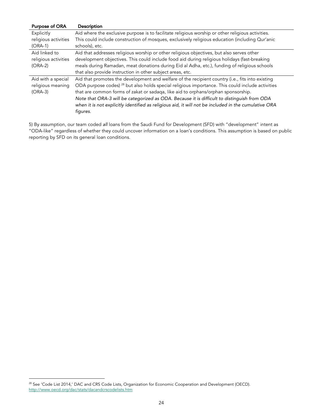| <b>Purpose of ORA</b> | <b>Description</b>                                                                                          |
|-----------------------|-------------------------------------------------------------------------------------------------------------|
| Explicitly            | Aid where the exclusive purpose is to facilitate religious worship or other religious activities.           |
| religious activities  | This could include construction of mosques, exclusively religious education (including Qur'anic             |
| $(ORA-1)$             | schools), etc.                                                                                              |
| Aid linked to         | Aid that addresses religious worship or other religious objectives, but also serves other                   |
| religious activities  | development objectives. This could include food aid during religious holidays (fast-breaking                |
| $(ORA-2)$             | meals during Ramadan, meat donations during Eid al Adha, etc.), funding of religious schools                |
|                       | that also provide instruction in other subject areas, etc.                                                  |
| Aid with a special    | Aid that promotes the development and welfare of the recipient country (i.e., fits into existing            |
| religious meaning     | ODA purpose codes) <sup>28</sup> but also holds special religious importance. This could include activities |
| $(ORA-3)$             | that are common forms of zakat or sadaqa, like aid to orphans/orphan sponsorship.                           |
|                       | Note that ORA-3 will be categorized as ODA. Because it is difficult to distinguish from ODA                 |
|                       | when it is not explicitly identified as religious aid, it will not be included in the cumulative ORA        |
|                       | figures.                                                                                                    |

5) By assumption, our team coded *all* loans from the Saudi Fund for Development (SFD) with "development" intent as "ODA-like" regardless of whether they could uncover information on a loan's conditions. This assumption is based on public reporting by SFD on its general loan conditions.

 <sup>28</sup> See 'Code List 2014,' DAC and CRS Code Lists, Organization for Economic Cooperation and Development (OECD). http://www.oecd.org/dac/stats/dacandcrscodelists.htm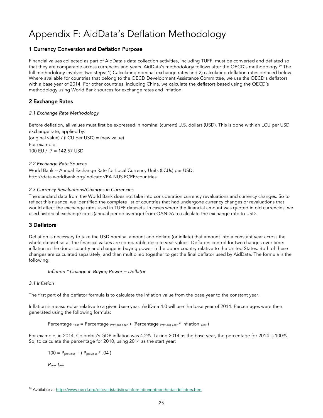### Appendix F: AidData's Deflation Methodology

### 1 Currency Conversion and Deflation Purpose

Financial values collected as part of AidData's data collection activities, including TUFF, must be converted and deflated so that they are comparable across currencies and years. AidData's methodology follows after the OECD's methodology.<sup>29</sup> The full methodology involves two steps: 1) Calculating nominal exchange rates and 2) calculating deflation rates detailed below. Where available for countries that belong to the OECD Development Assistance Committee, we use the OECD's deflators with a base year of 2014. For other countries, including China, we calculate the deflators based using the OECD's methodology using World Bank sources for exchange rates and inflation.

### 2 Exchange Rates

### *2.1 Exchange Rate Methodology*

Before deflation, all values must first be expressed in nominal (current) U.S. dollars (USD). This is done with an LCU per USD exchange rate, applied by: (original value) / (LCU per USD) = (new value) For example: 100 EU / .7 = 142.57 USD

### *2.2 Exchange Rate Sources*

World Bank -- Annual Exchange Rate for Local Currency Units (LCUs) per USD. http://data.worldbank.org/indicator/PA.NUS.FCRF/countries

### *2.3 Currency Revaluations/Changes in Currencies*

The standard data from the World Bank does not take into consideration currency revaluations and currency changes. So to reflect this nuance, we identified the complete list of countries that had undergone currency changes or revaluations that would affect the exchange rates used in TUFF datasets. In cases where the financial amount was quoted in old currencies, we used historical exchange rates (annual period average) from OANDA to calculate the exchange rate to USD.

### 3 Deflators

Deflation is necessary to take the USD nominal amount and deflate (or inflate) that amount into a constant year across the whole dataset so all the financial values are comparable despite year values. Deflators control for two changes over time: inflation in the donor country and change in buying power in the donor country relative to the United States. Both of these changes are calculated separately, and then multiplied together to get the final deflator used by AidData. The formula is the following:

*Inflation \* Change in Buying Power = Deflator*

### *3.1 Inflation*

The first part of the deflator formula is to calculate the inflation value from the base year to the constant year.

Inflation is measured as relative to a given base year. AidData 4.0 will use the base year of 2014. Percentages were then generated using the following formula:

Percentage Year = Percentage Previous Year + (Percentage Previous Year \* Inflation Year)

For example, in 2014, Colombia's GDP inflation was 4.2%. Taking 2014 as the base year, the percentage for 2014 is 100%. So, to calculate the percentage for 2010, using 2014 as the start year:

 $100 = P<sub>previous</sub> + (P<sub>previous</sub> * .04)$ 

*Pyear Iyear*

<sup>&</sup>lt;sup>29</sup> Available at http://www.oecd.org/dac/aidstatistics/informationnoteonthedacdeflators.htm.